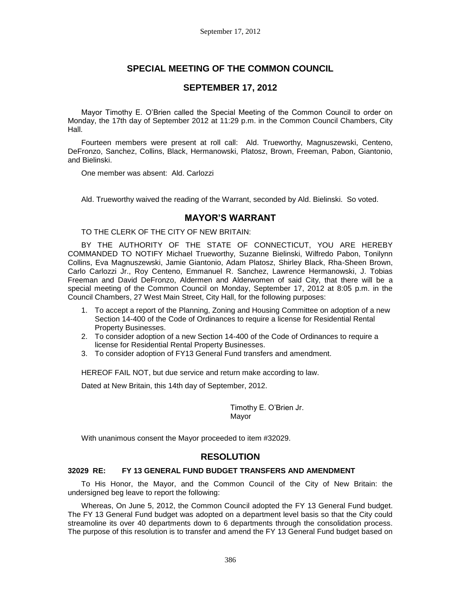# **SPECIAL MEETING OF THE COMMON COUNCIL**

## **SEPTEMBER 17, 2012**

Mayor Timothy E. O'Brien called the Special Meeting of the Common Council to order on Monday, the 17th day of September 2012 at 11:29 p.m. in the Common Council Chambers, City Hall.

Fourteen members were present at roll call: Ald. Trueworthy, Magnuszewski, Centeno, DeFronzo, Sanchez, Collins, Black, Hermanowski, Platosz, Brown, Freeman, Pabon, Giantonio, and Bielinski.

One member was absent: Ald. Carlozzi

Ald. Trueworthy waived the reading of the Warrant, seconded by Ald. Bielinski. So voted.

## **MAYOR'S WARRANT**

TO THE CLERK OF THE CITY OF NEW BRITAIN:

BY THE AUTHORITY OF THE STATE OF CONNECTICUT, YOU ARE HEREBY COMMANDED TO NOTIFY Michael Trueworthy, Suzanne Bielinski, Wilfredo Pabon, Tonilynn Collins, Eva Magnuszewski, Jamie Giantonio, Adam Platosz, Shirley Black, Rha-Sheen Brown, Carlo Carlozzi Jr., Roy Centeno, Emmanuel R. Sanchez, Lawrence Hermanowski, J. Tobias Freeman and David DeFronzo, Aldermen and Alderwomen of said City, that there will be a special meeting of the Common Council on Monday, September 17, 2012 at 8:05 p.m. in the Council Chambers, 27 West Main Street, City Hall, for the following purposes:

- 1. To accept a report of the Planning, Zoning and Housing Committee on adoption of a new Section 14-400 of the Code of Ordinances to require a license for Residential Rental Property Businesses.
- 2. To consider adoption of a new Section 14-400 of the Code of Ordinances to require a license for Residential Rental Property Businesses.
- 3. To consider adoption of FY13 General Fund transfers and amendment.

HEREOF FAIL NOT, but due service and return make according to law.

Dated at New Britain, this 14th day of September, 2012.

Timothy E. O'Brien Jr. Mayor

With unanimous consent the Mayor proceeded to item #32029.

## **RESOLUTION**

#### **32029 RE: FY 13 GENERAL FUND BUDGET TRANSFERS AND AMENDMENT**

To His Honor, the Mayor, and the Common Council of the City of New Britain: the undersigned beg leave to report the following:

Whereas, On June 5, 2012, the Common Council adopted the FY 13 General Fund budget. The FY 13 General Fund budget was adopted on a department level basis so that the City could streamoline its over 40 departments down to 6 departments through the consolidation process. The purpose of this resolution is to transfer and amend the FY 13 General Fund budget based on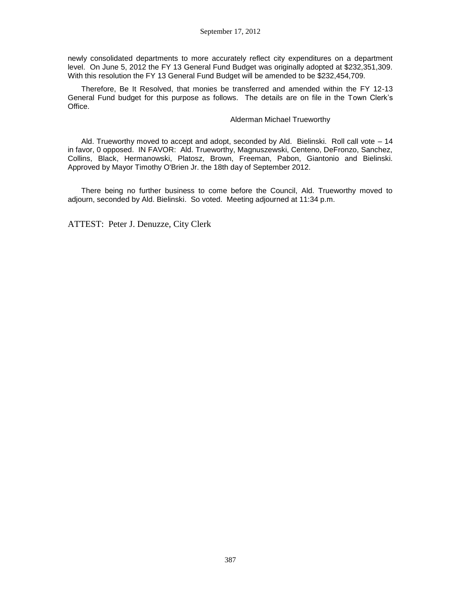newly consolidated departments to more accurately reflect city expenditures on a department level. On June 5, 2012 the FY 13 General Fund Budget was originally adopted at \$232,351,309. With this resolution the FY 13 General Fund Budget will be amended to be \$232,454,709.

Therefore, Be It Resolved, that monies be transferred and amended within the FY 12-13 General Fund budget for this purpose as follows. The details are on file in the Town Clerk's Office.

#### Alderman Michael Trueworthy

Ald. Trueworthy moved to accept and adopt, seconded by Ald. Bielinski. Roll call vote – 14 in favor, 0 opposed. IN FAVOR: Ald. Trueworthy, Magnuszewski, Centeno, DeFronzo, Sanchez, Collins, Black, Hermanowski, Platosz, Brown, Freeman, Pabon, Giantonio and Bielinski. Approved by Mayor Timothy O'Brien Jr. the 18th day of September 2012.

There being no further business to come before the Council, Ald. Trueworthy moved to adjourn, seconded by Ald. Bielinski. So voted. Meeting adjourned at 11:34 p.m.

ATTEST: Peter J. Denuzze, City Clerk